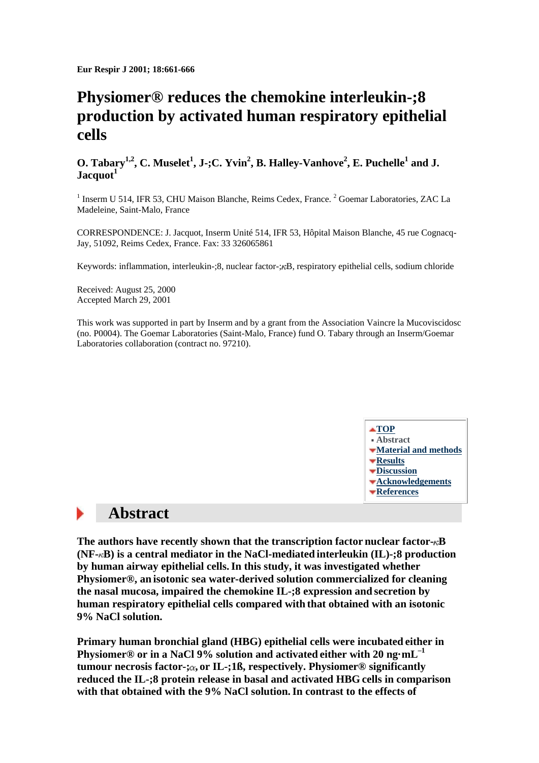**Eur Respir J 2001; 18:661-666**

# **Physiomer® reduces the chemokine interleukin-;8 production by activated human respiratory epithelial cells**

### **O. Tabary<sup>1,2</sup>, C. Muselet<sup>1</sup>, J-;C. Yvin<sup>2</sup>, B. Halley-Vanhove<sup>2</sup>, E. Puchelle<sup>1</sup> and J. Jacquot<sup>1</sup>**

 $<sup>1</sup>$  Inserm U 514, IFR 53, CHU Maison Blanche, Reims Cedex, France. <sup>2</sup> Goemar Laboratories, ZAC La</sup> Madeleine, Saint-Malo, France

CORRESPONDENCE: J. Jacquot, Inserm Unité 514, IFR 53, Hôpital Maison Blanche, 45 rue Cognacq-Jay, 51092, Reims Cedex, France. Fax: 33 326065861

Keywords: inflammation, interleukin-;8, nuclear factor- $\mathcal{R}$ B, respiratory epithelial cells, sodium chloride

Received: August 25, 2000 Accepted March 29, 2001

This work was supported in part by Inserm and by a grant from the Association Vaincre la Mucoviscidosc (no. P0004). The Goemar Laboratories (Saint-Malo, France) fund O. Tabary through an Inserm/Goemar Laboratories collaboration (contract no. 97210).



# **Abstract**

The authors have recently shown that the transcription factor nuclear factor- $\kappa$ B **(NF- B) is a central mediator in the NaCl-mediated interleukin (IL)-;8 production by human airway epithelial cells.In this study, it was investigated whether Physiomer®, an isotonic sea water-derived solution commercialized for cleaning the nasal mucosa, impaired the chemokine IL-;8 expression and secretion by human respiratory epithelial cells compared with that obtained with an isotonic 9% NaCl solution.**

**Primary human bronchial gland (HBG) epithelial cells were incubated either in Physiomer® or in a NaCl 9% solution and activated either with 20 ng·mL–1 tumour necrosis factor-; , or IL-;1ß, respectively. Physiomer® significantly reduced the IL-;8 protein release in basal and activated HBG cells in comparison with that obtained with the 9% NaCl solution.In contrast to the effects of**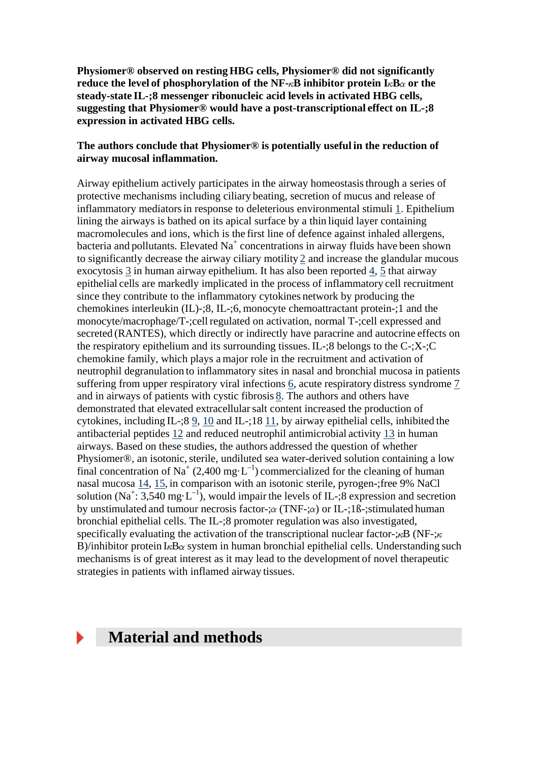**Physiomer® observed on resting HBG cells, Physiomer® did not significantly reduce the level of phosphorylation of the NF-** $\kappa$ **B inhibitor protein**  $I_{\kappa}B_{\alpha}$  **or the steady-state IL-;8 messenger ribonucleic acid levels in activated HBG cells, suggesting that Physiomer® would have a post-transcriptional effect on IL-;8 expression in activated HBG cells.**

### **The authors conclude that Physiomer® is potentially useful in the reduction of airway mucosal inflammation.**

Airway epithelium actively participates in the airway homeostasisthrough a series of protective mechanisms including ciliary beating, secretion of mucus and release of inflammatory mediatorsin response to deleterious environmental stimuli [1.](http://erj.ersjournals.com/cgi/content/full/18/4/661#R1) Epithelium lining the airways is bathed on its apical surface by a thin liquid layer containing macromolecules and ions, which is the first line of defence against inhaled allergens, bacteria and pollutants. Elevated  $Na<sup>+</sup>$  concentrations in airway fluids have been shown to significantly decrease the airway ciliary motility [2](http://erj.ersjournals.com/cgi/content/full/18/4/661#R2) and increase the glandular mucous exocytosis [3](http://erj.ersjournals.com/cgi/content/full/18/4/661#R3) in human airway epithelium. It has also been reported [4,](http://erj.ersjournals.com/cgi/content/full/18/4/661#R4) [5](http://erj.ersjournals.com/cgi/content/full/18/4/661#R5) that airway epithelial cells are markedly implicated in the process of inflammatory cell recruitment since they contribute to the inflammatory cytokines network by producing the chemokines interleukin (IL)-;8, IL-;6, monocyte chemoattractant protein-;1 and the monocyte/macrophage/T-;cell regulated on activation, normal T-;cell expressed and secreted (RANTES), which directly or indirectly have paracrine and autocrine effects on the respiratory epithelium and its surrounding tissues. IL-;8 belongs to the  $C^{-1}$ ;  $X^{-1}$ ;  $C$ chemokine family, which plays a major role in the recruitment and activation of neutrophil degranulation to inflammatory sites in nasal and bronchial mucosa in patients suffering from upper respiratory viral infections [6,](http://erj.ersjournals.com/cgi/content/full/18/4/661#R6) acute respiratory distress syndrome [7](http://erj.ersjournals.com/cgi/content/full/18/4/661#R7) and in airways of patients with cystic fibrosis [8.](http://erj.ersjournals.com/cgi/content/full/18/4/661#R8) The authors and others have demonstrated that elevated extracellularsalt content increased the production of cytokines, including IL-;8 [9,](http://erj.ersjournals.com/cgi/content/full/18/4/661#R9) [10](http://erj.ersjournals.com/cgi/content/full/18/4/661#R10) and IL-;18 [11,](http://erj.ersjournals.com/cgi/content/full/18/4/661#R11) by airway epithelial cells, inhibited the antibacterial peptides [12](http://erj.ersjournals.com/cgi/content/full/18/4/661#R12) and reduced neutrophil antimicrobial activity [13](http://erj.ersjournals.com/cgi/content/full/18/4/661#R13) in human airways. Based on these studies, the authors addressed the question of whether Physiomer®, an isotonic, sterile, undiluted sea water-derived solution containing a low final concentration of Na<sup>+</sup> (2,400 mg·L<sup>-1</sup>) commercialized for the cleaning of human nasal mucosa [14,](http://erj.ersjournals.com/cgi/content/full/18/4/661#R14) [15,](http://erj.ersjournals.com/cgi/content/full/18/4/661#R15) in comparison with an isotonic sterile, pyrogen-;free 9% NaCl solution (Na<sup>+</sup>: 3,540 mg·L<sup>-1</sup>), would impair the levels of IL-;8 expression and secretion by unstimulated and tumour necrosis factor-; $\alpha$  (TNF-; $\alpha$ ) or IL-;1ß-;stimulated human bronchial epithelial cells. The IL-;8 promoter regulation was also investigated, specifically evaluating the activation of the transcriptional nuclear factor- $\mathcal{R}$ B (NF- $\mathcal{R}$ ) B)/inhibitor protein  $I_{\kappa}B_{\alpha}$  system in human bronchial epithelial cells. Understanding such mechanisms is of great interest as it may lead to the development of novel therapeutic strategies in patients with inflamed airway tissues.

## **Material and methods**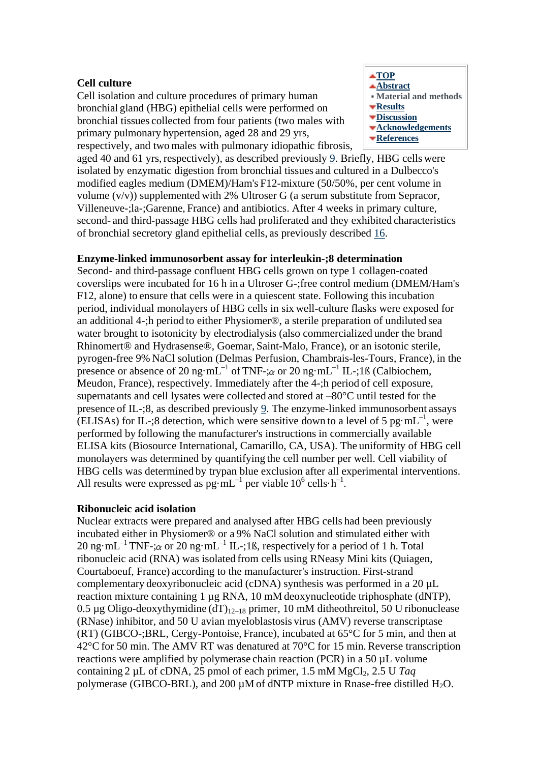### **Cell culture**

Cell isolation and culture procedures of primary human bronchial gland (HBG) epithelial cells were performed on bronchial tissues collected from four patients (two males with primary pulmonary hypertension, aged 28 and 29 yrs, respectively, and two males with pulmonary idiopathic fibrosis,



aged 40 and 61 yrs, respectively), as described previously [9.](http://erj.ersjournals.com/cgi/content/full/18/4/661#R9) Briefly, HBG cells were isolated by enzymatic digestion from bronchial tissues and cultured in a Dulbecco's modified eagles medium (DMEM)/Ham's F12-mixture (50/50%, per cent volume in volume  $(v/v)$ ) supplemented with 2% Ultroser G (a serum substitute from Sepracor, Villeneuve-;la-;Garenne, France) and antibiotics. After 4 weeks in primary culture, second- and third-passage HBG cells had proliferated and they exhibited characteristics of bronchial secretory gland epithelial cells, as previously described [16.](http://erj.ersjournals.com/cgi/content/full/18/4/661#R16)

### **Enzyme-linked immunosorbent assay for interleukin-;8 determination**

Second- and third-passage confluent HBG cells grown on type 1 collagen-coated coverslips were incubated for 16 h in a Ultroser G-;free control medium (DMEM/Ham's F12, alone) to ensure that cells were in a quiescent state. Following thisincubation period, individual monolayers of HBG cells in six well-culture flasks were exposed for an additional 4-;h period to either Physiomer®, a sterile preparation of undiluted sea water brought to isotonicity by electrodialysis (also commercialized under the brand Rhinomert® and Hydrasense®, Goemar, Saint-Malo, France), or an isotonic sterile, pyrogen-free 9% NaCl solution (Delmas Perfusion, Chambrais-les-Tours, France), in the presence or absence of 20 ng·mL<sup>-1</sup> of TNF-; $\alpha$  or 20 ng·mL<sup>-1</sup> IL-;1ß (Calbiochem, Meudon, France), respectively. Immediately after the 4-;h period of cell exposure, supernatants and cell lysates were collected and stored at –80°C until tested for the presence of IL-;8, as described previously [9.](http://erj.ersjournals.com/cgi/content/full/18/4/661#R9) The enzyme-linked immunosorbent assays (ELISAs) for IL-;8 detection, which were sensitive down to a level of 5 pg·mL<sup>-1</sup>, were performed by following the manufacturer's instructions in commercially available ELISA kits (Biosource International, Camarillo, CA, USA). The uniformity of HBG cell monolayers was determined by quantifying the cell number per well. Cell viability of HBG cells was determined by trypan blue exclusion after all experimental interventions. All results were expressed as  $pg \cdot mL^{-1}$  per viable  $10^6$  cells $\cdot h^{-1}$ .

#### **Ribonucleic acid isolation**

Nuclear extracts were prepared and analysed after HBG cells had been previously incubated either in Physiomer® or a 9% NaCl solution and stimulated either with 20 ng·mL<sup>-1</sup> TNF- $\alpha$  or 20 ng·mL<sup>-1</sup> IL-;1ß, respectively for a period of 1 h. Total ribonucleic acid (RNA) was isolated from cells using RNeasy Mini kits (Quiagen, Courtaboeuf, France) according to the manufacturer's instruction. First-strand complementary deoxyribonucleic acid (cDNA) synthesis was performed in a 20 µL reaction mixture containing 1 µg RNA, 10 mM deoxynucleotide triphosphate (dNTP), 0.5 µg Oligo-deoxythymidine  $(dT)_{12-18}$  primer, 10 mM ditheothreitol, 50 U ribonuclease (RNase) inhibitor, and 50 U avian myeloblastosis virus (AMV) reverse transcriptase (RT) (GIBCO-;BRL, Cergy-Pontoise, France), incubated at 65°C for 5 min, and then at 42°Cfor 50 min. The AMV RT was denatured at 70°C for 15 min. Reverse transcription reactions were amplified by polymerase chain reaction (PCR) in a 50 µL volume containing 2 uL of cDNA, 25 pmol of each primer, 1.5 mM MgCl<sub>2</sub>, 2.5 U *Tag* polymerase (GIBCO-BRL), and 200  $\mu$ M of dNTP mixture in Rnase-free distilled H<sub>2</sub>O.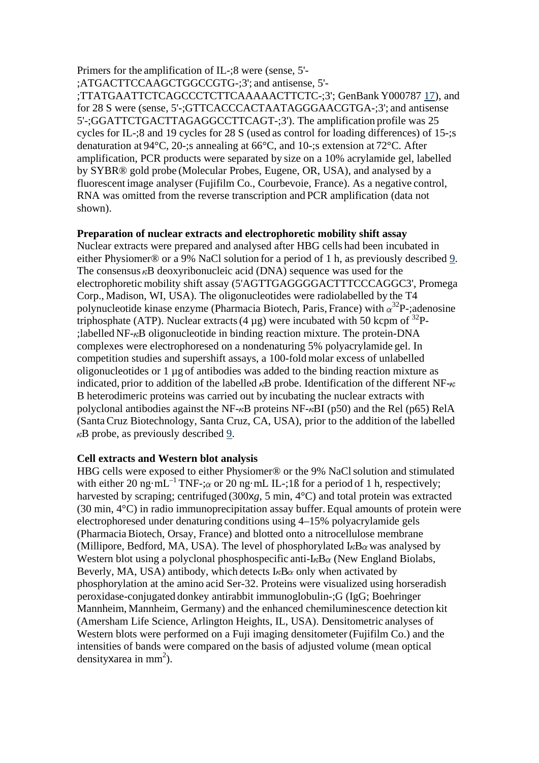Primers for the amplification of IL-;8 were (sense, 5'- ;ATGACTTCCAAGCTGGCCGTG-;3'; and antisense, 5'- ;TTATGAATTCTCAGCCCTCTTCAAAAACTTCTC-;3'; GenBank Y000787 [17\)](http://erj.ersjournals.com/cgi/content/full/18/4/661#R17), and for 28 S were (sense, 5'-;GTTCACCCACTAATAGGGAACGTGA-;3'; and antisense 5'-;GGATTCTGACTTAGAGGCCTTCAGT-;3'). The amplification profile was 25 cycles for IL-;8 and 19 cycles for 28 S (used as control for loading differences) of 15-;s denaturation at 94°C, 20-;s annealing at 66°C, and 10-;s extension at 72°C. After amplification, PCR products were separated by size on a 10% acrylamide gel, labelled by SYBR® gold probe (Molecular Probes, Eugene, OR, USA), and analysed by a fluorescent image analyser (Fujifilm Co., Courbevoie, France). As a negative control, RNA was omitted from the reverse transcription and PCR amplification (data not shown).

#### **Preparation of nuclear extracts and electrophoretic mobility shift assay**

Nuclear extracts were prepared and analysed after HBG cells had been incubated in either Physiomer® or a 9% NaCl solution for a period of 1 h, as previously described [9.](http://erj.ersjournals.com/cgi/content/full/18/4/661#R9) The consensus  $\kappa$ B deoxyribonucleic acid (DNA) sequence was used for the electrophoretic mobility shift assay (5'AGTTGAGGGGACTTTCCCAGGC3', Promega Corp., Madison, WI, USA). The oligonucleotides were radiolabelled by the T4 polynucleotide kinase enzyme (Pharmacia Biotech, Paris, France) with  $\alpha^{32}P$ -;adenosine triphosphate (ATP). Nuclear extracts (4  $\mu$ g) were incubated with 50 kcpm of <sup>32</sup>P-: labelled  $NF_{\kappa}B$  oligonucleotide in binding reaction mixture. The protein-DNA complexes were electrophoresed on a nondenaturing 5% polyacrylamide gel. In competition studies and supershift assays, a 100-fold molar excess of unlabelled oligonucleotides or 1 µg of antibodies was added to the binding reaction mixture as indicated, prior to addition of the labelled  $\kappa$ B probe. Identification of the different NF- $\kappa$ B heterodimeric proteins was carried out by incubating the nuclear extracts with polyclonal antibodies against the NF- $\kappa$ B proteins NF- $\kappa$ BI (p50) and the Rel (p65) RelA (SantaCruz Biotechnology, Santa Cruz, CA, USA), prior to the addition of the labelled  $\kappa$ B probe, as previously described [9.](http://erj.ersjournals.com/cgi/content/full/18/4/661#R9)

#### **Cell extracts and Western blot analysis**

HBG cells were exposed to either Physiomer® or the 9% NaCl solution and stimulated with either 20 ng·mL<sup>-1</sup> TNF-; $\alpha$  or 20 ng·mL IL-;1ß for a period of 1 h, respectively; harvested by scraping; centrifuged (300x*g*, 5 min, 4°C) and total protein was extracted (30 min, 4°C) in radio immunoprecipitation assay buffer. Equal amounts of protein were electrophoresed under denaturing conditions using 4–15% polyacrylamide gels (PharmaciaBiotech, Orsay, France) and blotted onto a nitrocellulose membrane (Millipore, Bedford, MA, USA). The level of phosphorylated  $I_{\kappa}B_{\alpha}$  was analysed by Western blot using a polyclonal phosphospecific anti- $I_{\kappa}B_{\alpha}$  (New England Biolabs, Beverly, MA, USA) antibody, which detects  $I_{\kappa}B_{\alpha}$  only when activated by phosphorylation at the amino acid Ser-32. Proteins were visualized using horseradish peroxidase-conjugated donkey antirabbit immunoglobulin-;G (IgG; Boehringer Mannheim, Mannheim, Germany) and the enhanced chemiluminescence detection kit (Amersham Life Science, Arlington Heights, IL, USA). Densitometric analyses of Western blots were performed on a Fuji imaging densitometer (Fujifilm Co.) and the intensities of bands were compared on the basis of adjusted volume (mean optical density xarea in mm<sup>2</sup>).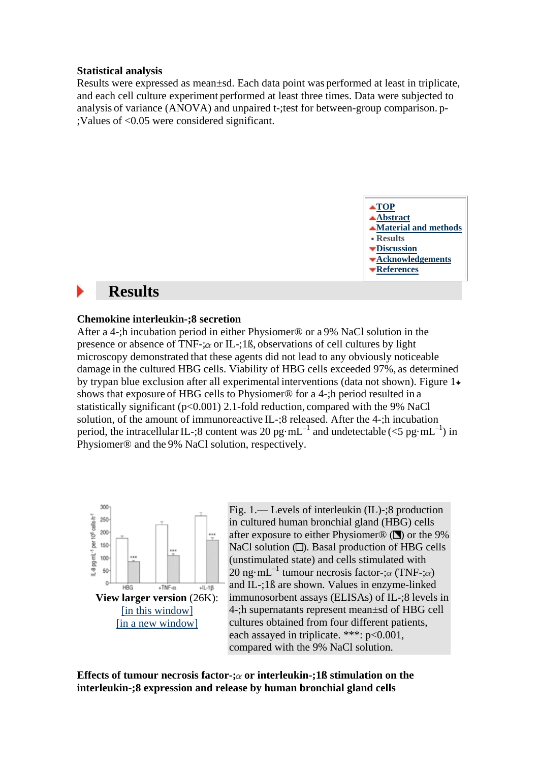#### **Statistical analysis**

Results were expressed as mean±sd. Each data point was performed at least in triplicate, and each cell culture experiment performed at least three times. Data were subjected to analysis of variance (ANOVA) and unpaired t-;test for between-group comparison. p- ;Values of <0.05 were considered significant.



# **Results**

#### **Chemokine interleukin-;8 secretion**

After a 4-;h incubation period in either Physiomer® or a 9% NaCl solution in the presence or absence of TNF-; $\alpha$  or IL-;1ß, observations of cell cultures by light microscopy demonstrated that these agents did not lead to any obviously noticeable damage in the cultured HBG cells. Viability of HBG cells exceeded 97%, as determined by trypan blue exclusion after all experimental interventions (data not shown). Figure 1 shows that exposure of HBG cells to Physiomer® for a 4-;h period resulted in a statistically significant ( $p<0.001$ ) 2.1-fold reduction, compared with the 9% NaCl solution, of the amount of immunoreactive IL-;8 released. After the 4-;h incubation period, the intracellular IL-;8 content was 20 pg·mL<sup>-1</sup> and undetectable (<5 pg·mL<sup>-1</sup>) in Physiomer® and the 9% NaCl solution, respectively.



Fig. 1.— Levels of interleukin (IL)-;8 production in cultured human bronchial gland (HBG) cells after exposure to either Physiomer<sup>®</sup> ( $\blacksquare$ ) or the 9% NaCl solution  $\Box$ ). Basal production of HBG cells (unstimulated state) and cells stimulated with 20 ng·mL<sup>-1</sup> tumour necrosis factor- $:\alpha$  (TNF- $:\alpha$ ) and IL-;1ß are shown. Values in enzyme-linked immunosorbent assays (ELISAs) of IL-;8 levels in 4-;h supernatants represent mean±sd of HBG cell cultures obtained from four different patients, each assayed in triplicate. \*\*\*: p<0.001, compared with the 9% NaCl solution.

**Effects of tumour necrosis factor-; or interleukin-;1ß stimulation on the interleukin-;8 expression and release by human bronchial gland cells**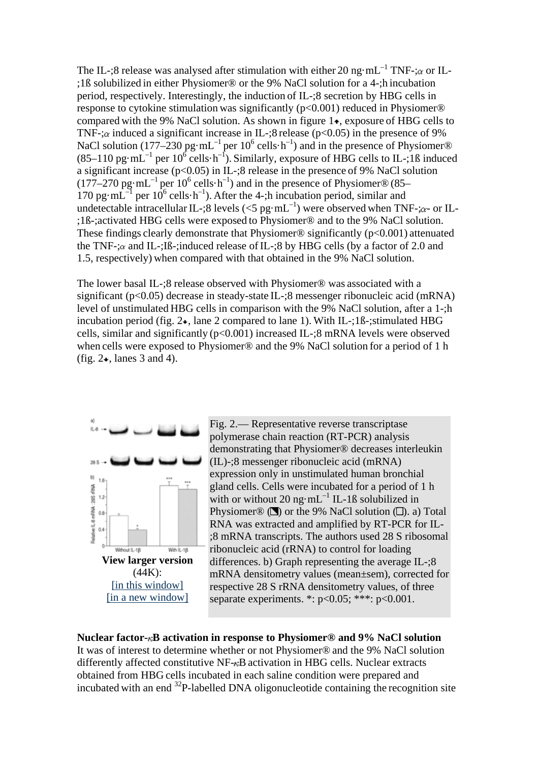The IL-;8 release was analysed after stimulation with either 20 ng·mL<sup>-1</sup> TNF-; $\alpha$  or IL-;1ß solubilized in either Physiomer® or the 9% NaCl solution for a 4-;h incubation period, respectively. Interestingly, the induction of IL-;8 secretion by HBG cells in response to cytokine stimulation was significantly (p<0.001) reduced in Physiomer® compared with the 9% NaCl solution. As shown in figure  $1\star$ , exposure of HBG cells to TNF-; $\alpha$  induced a significant increase in IL-;8 release (p<0.05) in the presence of 9% NaCl solution (177–230 pg·mL<sup>-1</sup> per 10<sup>6</sup> cells·h<sup>-1</sup>) and in the presence of Physiomer®  $(85-110 \text{ pg} \cdot \text{mL}^{-1} \text{ per } 10^6 \text{ cells} \cdot \text{h}^{-1})$ . Similarly, exposure of HBG cells to IL-;18 induced a significant increase (p<0.05) in IL-;8 release in the presence of 9% NaCl solution  $(177-270 \text{ pg} \cdot \text{mL}^{-1} \text{ per } 10^6 \text{ cells} \cdot \text{h}^{-1})$  and in the presence of Physiomer® (85– 170 pg·mL $^{-1}$  per 10<sup>6</sup> cells·h<sup>-1</sup>). After the 4-;h incubation period, similar and undetectable intracellular IL-;8 levels (<5 pg·mL<sup>-1</sup>) were observed when TNF-; $\alpha$ - or IL-;1ß-;activated HBG cells were exposed to Physiomer® and to the 9% NaCl solution. These findings clearly demonstrate that Physiomer<sup>®</sup> significantly ( $p<0.001$ ) attenuated the TNF-; $\alpha$  and IL-;Iß-;induced release of IL-;8 by HBG cells (by a factor of 2.0 and 1.5, respectively) when compared with that obtained in the 9% NaCl solution.

The lower basal IL-;8 release observed with Physiomer® was associated with a significant (p<0.05) decrease in steady-state IL-;8 messenger ribonucleic acid (mRNA) level of unstimulated HBG cells in comparison with the 9% NaCl solution, after a 1-;h incubation period (fig.  $2\star$ , lane 2 compared to lane 1). With IL-;1 $\beta$ -;stimulated HBG cells, similar and significantly  $(p<0.001)$  increased IL-;8 mRNA levels were observed when cells were exposed to Physiomer® and the 9% NaCl solution for a period of 1 h (fig.  $2\bullet$ , lanes 3 and 4).



Fig. 2.— Representative reverse transcriptase polymerase chain reaction (RT-PCR) analysis demonstrating that Physiomer® decreases interleukin (IL)-;8 messenger ribonucleic acid (mRNA) expression only in unstimulated human bronchial gland cells. Cells were incubated for a period of 1 h with or without 20 ng $\cdot$  mL<sup>-1</sup> IL-1ß solubilized in Physiomer<sup>®</sup> ( $\Box$ ) or the 9% NaCl solution ( $\Box$ ). a) Total RNA was extracted and amplified by RT-PCR for IL- ;8 mRNA transcripts. The authors used 28 S ribosomal ribonucleic acid (rRNA) to control for loading differences. b) Graph representing the average  $IL-3$ mRNA densitometry values (mean±sem), corrected for respective 28 S rRNA densitometry values, of three separate experiments. \*:  $p<0.05$ ; \*\*\*:  $p<0.001$ .

## **Nuclear factor- B activation in response to Physiomer® and 9% NaCl solution**

It was of interest to determine whether or not Physiomer® and the 9% NaCl solution differently affected constitutive  $NF_{\tau}B$  activation in HBG cells. Nuclear extracts obtained from HBG cells incubated in each saline condition were prepared and incubated with an end 32P-labelled DNA oligonucleotide containing the recognition site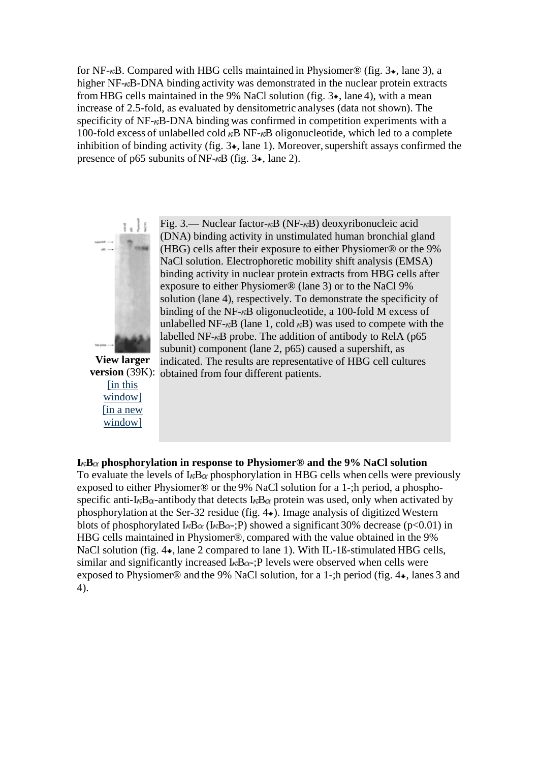for NF- $<sub>κ</sub>B$ . Compared with HBG cells maintained in Physiomer<sup>®</sup> (fig.  $3\star$ , lane 3), a</sub> higher NF- $\kappa$ B-DNA binding activity was demonstrated in the nuclear protein extracts from HBG cells maintained in the 9% NaCl solution (fig.  $3\star$ , lane 4), with a mean increase of 2.5-fold, as evaluated by densitometric analyses (data not shown). The specificity of  $NF-\kappa B-DNA$  binding was confirmed in competition experiments with a 100-fold excess of unlabelled cold  $\kappa$ B NF- $\kappa$ B oligonucleotide, which led to a complete inhibition of binding activity (fig.  $3\star$ , lane 1). Moreover, supershift assays confirmed the presence of p65 subunits of NF- $\kappa$ B (fig. 3 $\star$ , lane 2).



Fig. 3.— Nuclear factor- $\kappa$ B (NF- $\kappa$ B) deoxyribonucleic acid (DNA) binding activity in unstimulated human bronchial gland (HBG) cells after their exposure to either Physiomer® or the 9% NaCl solution. Electrophoretic mobility shift analysis (EMSA) binding activity in nuclear protein extracts from HBG cells after exposure to either Physiomer® (lane 3) or to the NaCl 9% solution (lane 4), respectively. To demonstrate the specificity of binding of the NF- $\kappa$ B oligonucleotide, a 100-fold M excess of unlabelled NF- $\kappa$ B (lane 1, cold  $\kappa$ B) was used to compete with the labelled NF- $\kappa$ B probe. The addition of antibody to RelA (p65) subunit) component (lane 2, p65) caused a supershift, as indicated. The results are representative of HBG cell cultures

**View larger**  version (39K): obtained from four different patients. [\[in this](http://erj.ersjournals.com/cgi/content/full/18/4/661/F3)  [window\]](http://erj.ersjournals.com/cgi/content/full/18/4/661/F3) [\[in a new](http://erj.ersjournals.com/cgi/content-nw/full/18/4/661/F3)  [window\]](http://erj.ersjournals.com/cgi/content-nw/full/18/4/661/F3)

#### $I_{\kappa}B_{\alpha}$  phosphorylation in response to Physiomer<sup>®</sup> and the 9% NaCl solution

To evaluate the levels of I<sub>K</sub>B<sub> $\alpha$ </sub> phosphorylation in HBG cells when cells were previously exposed to either Physiomer® or the 9% NaCl solution for a 1-;h period, a phosphospecific anti-I<sub>K</sub>B<sub> $\alpha$ </sub>-antibody that detects I<sub>K</sub>B $_{\alpha}$  protein was used, only when activated by phosphorylation at the Ser-32 residue (fig. 4 ). Image analysis of digitized Western blots of phosphorylated I<sub>K</sub>B $\alpha$  (I<sub>K</sub>B $\alpha$ -;P) showed a significant 30% decrease (p<0.01) in HBG cells maintained in Physiomer®, compared with the value obtained in the 9% NaCl solution (fig. 4 $\bullet$ , lane 2 compared to lane 1). With IL-1ß-stimulated HBG cells, similar and significantly increased  $I_{\kappa}B_{\alpha}$ : P levels were observed when cells were exposed to Physiomer® and the 9% NaCl solution, for a 1-;h period (fig. 4 $\star$ , lanes 3 and 4).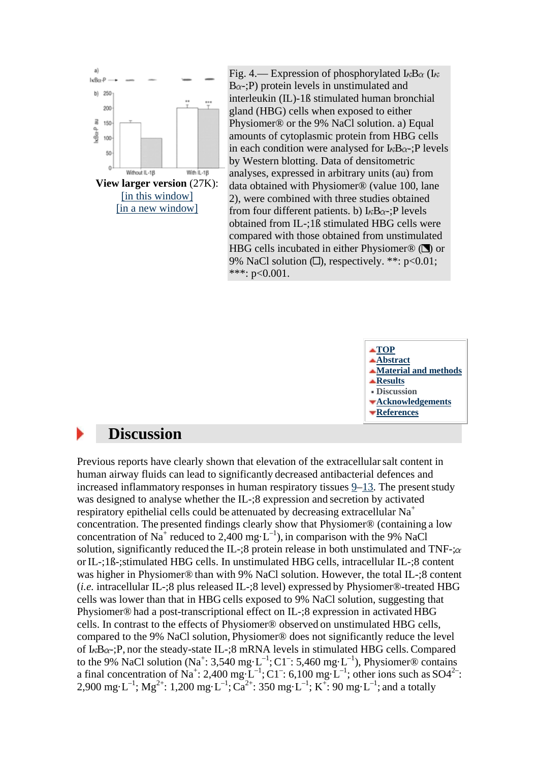

Fig. 4.— Expression of phosphorylated I<sub> $\kappa$ B $\alpha$  (I $\kappa$ )</sub>  $B_{\alpha-}$ ; P) protein levels in unstimulated and interleukin (IL)-1ß stimulated human bronchial gland (HBG) cells when exposed to either Physiomer® or the 9% NaCl solution. a) Equal amounts of cytoplasmic protein from HBG cells in each condition were analysed for  $I_{\kappa}B_{\alpha}$ : P levels by Western blotting. Data of densitometric analyses, expressed in arbitrary units (au) from data obtained with Physiomer® (value 100, lane 2), were combined with three studies obtained from four different patients. b)  $I_{\kappa}B_{\alpha}$ : P levels obtained from IL-;1ß stimulated HBG cells were compared with those obtained from unstimulated HBG cells incubated in either Physiomer<sup>®</sup> ( $\blacksquare$ ) or 9% NaCl solution  $\Box$ ), respectively. \*\*: p<0.01; \*\*\*:  $p<0.001$ .



# **Discussion**

Previous reports have clearly shown that elevation of the extracellularsalt content in human airway fluids can lead to significantly decreased antibacterial defences and increased inflammatory responses in human respiratory tissues  $9-13$ . The present study was designed to analyse whether the IL-;8 expression and secretion by activated respiratory epithelial cells could be attenuated by decreasing extracellular Na<sup>+</sup> concentration. The presented findings clearly show that Physiomer® (containing a low concentration of Na<sup>+</sup> reduced to 2,400 mg·L<sup>-1</sup>), in comparison with the 9% NaCl solution, significantly reduced the IL-;8 protein release in both unstimulated and TNF-; $\alpha$ or IL-;1ß-;stimulated HBG cells. In unstimulated HBG cells, intracellular IL-;8 content was higher in Physiomer® than with 9% NaCl solution. However, the total IL-;8 content (*i.e.* intracellular IL-;8 plus released IL-;8 level) expressed by Physiomer®-treated HBG cells was lower than that in HBG cells exposed to 9% NaCl solution, suggesting that Physiomer® had a post-transcriptional effect on IL-;8 expression in activated HBG cells. In contrast to the effects of Physiomer® observed on unstimulated HBG cells, compared to the 9% NaCl solution, Physiomer® does not significantly reduce the level of  $I_{\kappa}B_{\alpha}$ : P, nor the steady-state IL-: 8 mRNA levels in stimulated HBG cells. Compared to the 9% NaCl solution (Na<sup>+</sup>: 3,540 mg·L<sup>-1</sup>; C1<sup>-</sup>: 5,460 mg·L<sup>-1</sup>), Physiomer® contains a final concentration of Na<sup>+</sup>: 2,400 mg·L<sup>-1</sup>; C1<sup>-</sup>: 6,100 mg·L<sup>-1</sup>; other ions such as SO4<sup>2-</sup>: 2,900 mg·L<sup>-1</sup>; Mg<sup>2+</sup>: 1,200 mg·L<sup>-1</sup>; Ca<sup>2+</sup>: 350 mg·L<sup>-1</sup>; K<sup>+</sup>: 90 mg·L<sup>-1</sup>; and a totally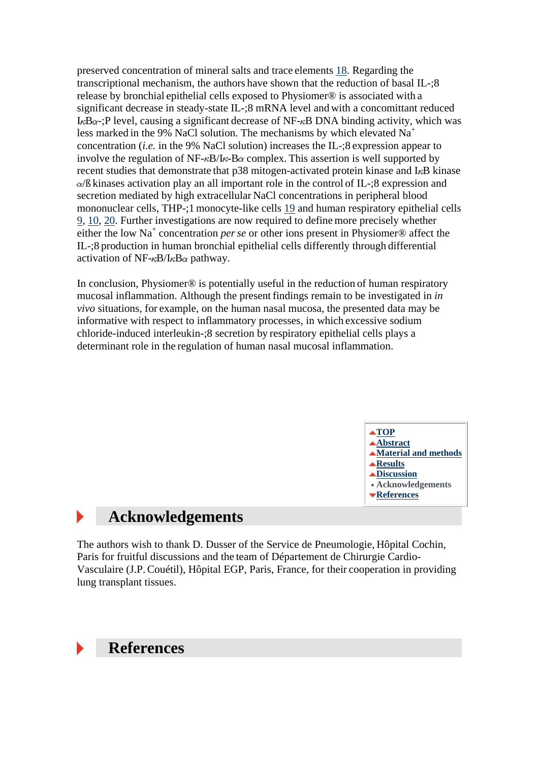preserved concentration of mineral salts and trace elements [18.](http://erj.ersjournals.com/cgi/content/full/18/4/661#R18) Regarding the transcriptional mechanism, the authors have shown that the reduction of basal IL-;8 release by bronchial epithelial cells exposed to Physiomer® is associated with a significant decrease in steady-state IL-;8 mRNA level and with a concomittant reduced I<sub> $\kappa$ B $\alpha$ -;P level, causing a significant decrease of NF- $\kappa$ B DNA binding activity, which was</sub> less marked in the 9% NaCl solution. The mechanisms by which elevated  $Na<sup>+</sup>$ concentration (*i.e.* in the 9% NaCl solution) increases the IL-;8 expression appear to involve the regulation of NF- $\kappa$ B/I $\kappa$ -B $\alpha$  complex. This assertion is well supported by recent studies that demonstrate that p38 mitogen-activated protein kinase and I<sub>n</sub>B kinase /ß kinases activation play an all important role in the control of IL-;8 expression and secretion mediated by high extracellular NaCl concentrations in peripheral blood mononuclear cells, THP-;1 monocyte-like cells [19](http://erj.ersjournals.com/cgi/content/full/18/4/661#R19) and human respiratory epithelial cells [9,](http://erj.ersjournals.com/cgi/content/full/18/4/661#R9) [10,](http://erj.ersjournals.com/cgi/content/full/18/4/661#R10) [20.](http://erj.ersjournals.com/cgi/content/full/18/4/661#R20) Further investigations are now required to define more precisely whether either the low Na<sup>+</sup> concentration *perse* or other ions present in Physiomer® affect the IL-;8 production in human bronchial epithelial cells differently through differential activation of NF- $\kappa$ B/I $\kappa$ B $\alpha$  pathway.

In conclusion, Physiomer® is potentially useful in the reduction of human respiratory mucosal inflammation. Although the present findings remain to be investigated in *in vivo* situations, for example, on the human nasal mucosa, the presented data may be informative with respect to inflammatory processes, in which excessive sodium chloride-induced interleukin-;8 secretion by respiratory epithelial cells plays a determinant role in the regulation of human nasal mucosal inflammation.



# **Acknowledgements**

The authors wish to thank D. Dusser of the Service de Pneumologie, Hôpital Cochin, Paris for fruitful discussions and the team of Département de Chirurgie Cardio-Vasculaire (J.P.Couétil), Hôpital EGP, Paris, France, for their cooperation in providing lung transplant tissues.

## **References**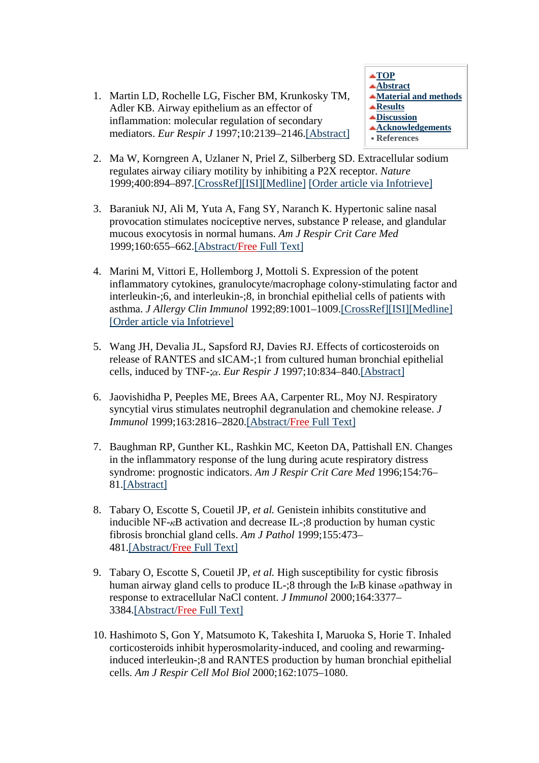1. Martin LD, Rochelle LG, Fischer BM, Krunkosky TM, Adler KB. Airway epithelium as an effector of inflammation: molecular regulation of secondary mediators. *Eur Respir J* 1997;10:2139–2146[.\[Abstract\]](http://erj.ersjournals.com/cgi/ijlink?linkType=ABST&journalCode=erj&resid=10/9/2139)



- 2. Ma W, Korngreen A, Uzlaner N, Priel Z, Silberberg SD. Extracellular sodium regulates airway ciliary motility by inhibiting a P2X receptor. *Nature* 1999;400:894–897[.\[](http://erj.ersjournals.com/cgi/external_ref?access_num=10.1038/23743&link_type=DOI)CrossRef[\]\[ISI\]](http://erj.ersjournals.com/cgi/external_ref?access_num=10.1038/23743&link_type=DOI)[\[Medline\]](http://erj.ersjournals.com/cgi/external_ref?access_num=10476971&link_type=MED) [\[Order article via Infotrieve\]](http://erj.ersjournals.com/cgi/external_ref?access_num=10476971&displayid=142677&link_type=INFOTRIEVE)
- 3. Baraniuk NJ, Ali M, Yuta A, Fang SY, Naranch K. Hypertonic saline nasal provocation stimulates nociceptive nerves, substance P release, and glandular mucous exocytosis in normal humans. *Am J Respir Crit Care Med* 1999;160:655–662[.\[Abstract/Free](http://erj.ersjournals.com/cgi/ijlink?linkType=ABST&journalCode=ajrccm&resid=160/2/655) Full Text]
- 4. Marini M, Vittori E, Hollemborg J, Mottoli S. Expression of the potent inflammatory cytokines, granulocyte/macrophage colony-stimulating factor and interleukin-;6, and interleukin-;8, in bronchial epithelial cells of patients with asthma. *J Allergy Clin Immunol* 1992;89:1001–1009[.\[](http://erj.ersjournals.com/cgi/external_ref?access_num=10.1016/0091-6749(92)90223-O&link_type=DOI)CrossRef[\]\[ISI\]](http://erj.ersjournals.com/cgi/external_ref?access_num=10.1016/0091-6749(92)90223-O&link_type=DOI)[\[Medline\]](http://erj.ersjournals.com/cgi/external_ref?access_num=1583242&link_type=MED) [\[Order article via Infotrieve\]](http://erj.ersjournals.com/cgi/external_ref?access_num=1583242&displayid=142677&link_type=INFOTRIEVE)
- 5. Wang JH, Devalia JL, Sapsford RJ, Davies RJ. Effects of corticosteroids on release of RANTES and sICAM-;1 from cultured human bronchial epithelial cells, induced by TNF-; $\alpha$ . *Eur Respir J* 1997;10:834–840[.\[Abstract\]](http://erj.ersjournals.com/cgi/ijlink?linkType=ABST&journalCode=erj&resid=10/4/834)
- 6. Jaovishidha P, Peeples ME, Brees AA, Carpenter RL, Moy NJ. Respiratory syncytial virus stimulates neutrophil degranulation and chemokine release. *J Immunol* 1999;163:2816–2820[.\[Abstract/Free](http://erj.ersjournals.com/cgi/ijlink?linkType=ABST&journalCode=jimmunol&resid=163/5/2816) Full Text]
- 7. Baughman RP, Gunther KL, Rashkin MC, Keeton DA, Pattishall EN. Changes in the inflammatory response of the lung during acute respiratory distress syndrome: prognostic indicators. *Am J Respir Crit Care Med* 1996;154:76– 81[.\[Abstract\]](http://erj.ersjournals.com/cgi/ijlink?linkType=ABST&journalCode=ajrccm&resid=154/1/76)
- 8. Tabary O, Escotte S, Couetil JP, *et al.* Genistein inhibits constitutive and inducible NF- $\kappa$ B activation and decrease IL-:8 production by human cystic fibrosis bronchial gland cells. *Am J Pathol* 1999;155:473– 481[.\[Abstract/Free](http://erj.ersjournals.com/cgi/ijlink?linkType=ABST&journalCode=amjpathol&resid=155/2/473) Full Text]
- 9. Tabary O, Escotte S, Couetil JP, *et al.* High susceptibility for cystic fibrosis human airway gland cells to produce IL-;8 through the I<sub>K</sub>B kinase  $\alpha$  pathway in response to extracellular NaCl content. *J Immunol* 2000;164:3377– 3384[.\[Abstract/Free](http://erj.ersjournals.com/cgi/ijlink?linkType=ABST&journalCode=jimmunol&resid=164/6/3377) Full Text]
- 10. Hashimoto S, Gon Y, Matsumoto K, Takeshita I, Maruoka S, Horie T. Inhaled corticosteroids inhibit hyperosmolarity-induced, and cooling and rewarminginduced interleukin-;8 and RANTES production by human bronchial epithelial cells. *Am J Respir Cell Mol Biol* 2000;162:1075–1080.